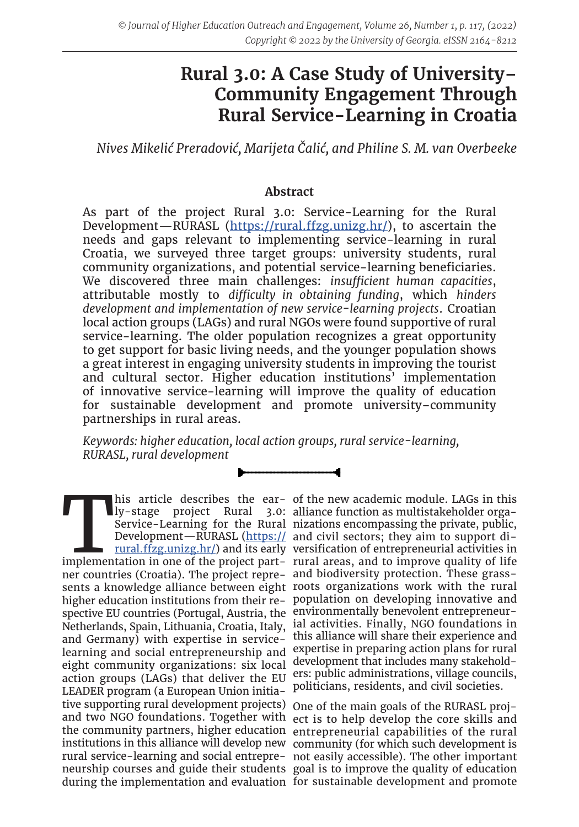# **Rural 3.0: A Case Study of University– Community Engagement Through Rural Service-Learning in Croatia**

*Nives Mikelić Preradović, Marijeta Čalić, and Philine S. M. van Overbeeke*

# **Abstract**

As part of the project Rural 3.0: Service-Learning for the Rural Development—RURASL (<https://rural.ffzg.unizg.hr/>), to ascertain the needs and gaps relevant to implementing service-learning in rural Croatia, we surveyed three target groups: university students, rural community organizations, and potential service-learning beneficiaries. We discovered three main challenges: *insufficient human capacities*, attributable mostly to *difficulty in obtaining funding*, which *hinders development and implementation of new service-learning projects*. Croatian local action groups (LAGs) and rural NGOs were found supportive of rural service-learning. The older population recognizes a great opportunity to get support for basic living needs, and the younger population shows a great interest in engaging university students in improving the tourist and cultural sector. Higher education institutions' implementation of innovative service-learning will improve the quality of education for sustainable development and promote university–community partnerships in rural areas.

*Keywords: higher education, local action groups, rural service-learning, RURASL, rural development*

This article describes the ear- of the new academic module. LAGs in this ly-stage project Rural 3.0: alliance function as multistakeholder orga-<br>Service-Learning for the Rural nizations encompassing the private, public,<br>De ner countries (Croatia). The project repre-and biodiversity protection. These grasssents a knowledge alliance between eight roots organizations work with the rural higher education institutions from their re-population on developing innovative and spective EU countries (Portugal, Austria, the environmentally benevolent entrepreneur-Netherlands, Spain, Lithuania, Croatia, Italy, and Germany) with expertise in servicelearning and social entrepreneurship and eight community organizations: six local action groups (LAGs) that deliver the EU LEADER program (a European Union initiative supporting rural development projects) One of the main goals of the RURASL projand two NGO foundations. Together with ect is to help develop the core skills and the community partners, higher education entrepreneurial capabilities of the rural institutions in this alliance will develop new community (for which such development is rural service-learning and social entrepre-not easily accessible). The other important neurship courses and guide their students goal is to improve the quality of education during the implementation and evaluation for sustainable development and promote

ly-stage project Rural 3.0: alliance function as multistakeholder orga-Service-Learning for the Rural nizations encompassing the private, public, Development—RURASL [\(https://](https://rural.ffzg.unizg.hr/) and civil sectors; they aim to support di[rural.ffzg.unizg.hr/](https://rural.ffzg.unizg.hr/)) and its early versification of entrepreneurial activities in his article describes the ear- of the new academic module. LAGs in this ial activities. Finally, NGO foundations in this alliance will share their experience and expertise in preparing action plans for rural development that includes many stakeholders: public administrations, village councils, politicians, residents, and civil societies.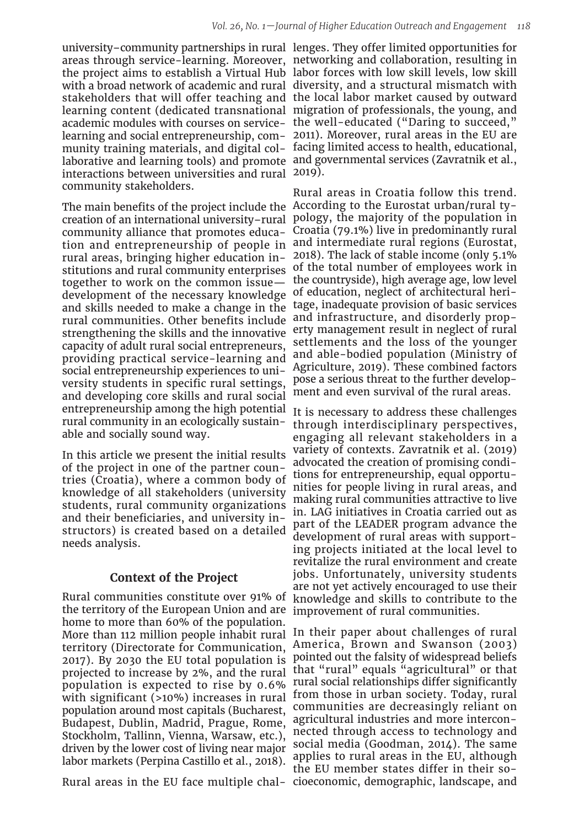interactions between universities and rural 2019). community stakeholders.

The main benefits of the project include the According to the Eurostat urban/rural tycreation of an international university–rural community alliance that promotes educarural areas, bringing higher education institutions and rural community enterprises together to work on the common issue development of the necessary knowledge and skills needed to make a change in the rural communities. Other benefits include strengthening the skills and the innovative capacity of adult rural social entrepreneurs, providing practical service-learning and social entrepreneurship experiences to university students in specific rural settings, and developing core skills and rural social entrepreneurship among the high potential rural community in an ecologically sustainable and socially sound way.

In this article we present the initial results of the project in one of the partner countries (Croatia), where a common body of knowledge of all stakeholders (university students, rural community organizations and their beneficiaries, and university instructors) is created based on a detailed needs analysis.

# **Context of the Project**

Rural communities constitute over 91% of the territory of the European Union and are improvement of rural communities. home to more than 60% of the population. territory (Directorate for Communication, 2017). By 2030 the EU total population is projected to increase by 2%, and the rural population is expected to rise by 0.6% with significant (>10%) increases in rural population around most capitals (Bucharest, Budapest, Dublin, Madrid, Prague, Rome, Stockholm, Tallinn, Vienna, Warsaw, etc.), driven by the lower cost of living near major labor markets (Perpina Castillo et al., 2018).

Rural areas in the EU face multiple chal-cioeconomic, demographic, landscape, and

university–community partnerships in rural lenges. They offer limited opportunities for areas through service-learning. Moreover, networking and collaboration, resulting in the project aims to establish a Virtual Hub labor forces with low skill levels, low skill with a broad network of academic and rural diversity, and a structural mismatch with stakeholders that will offer teaching and the local labor market caused by outward learning content (dedicated transnational migration of professionals, the young, and academic modules with courses on service-the well-educated ("Daring to succeed," learning and social entrepreneurship, com-2011). Moreover, rural areas in the EU are munity training materials, and digital col-facing limited access to health, educational, laborative and learning tools) and promote and governmental services (Zavratnik et al.,

tion and entrepreneurship of people in and intermediate rural regions (Eurostat, Rural areas in Croatia follow this trend. pology, the majority of the population in Croatia (79.1%) live in predominantly rural 2018). The lack of stable income (only 5.1% of the total number of employees work in the countryside), high average age, low level of education, neglect of architectural heritage, inadequate provision of basic services and infrastructure, and disorderly property management result in neglect of rural settlements and the loss of the younger and able-bodied population (Ministry of Agriculture, 2019). These combined factors pose a serious threat to the further development and even survival of the rural areas.

> It is necessary to address these challenges through interdisciplinary perspectives, engaging all relevant stakeholders in a variety of contexts. Zavratnik et al. (2019) advocated the creation of promising conditions for entrepreneurship, equal opportunities for people living in rural areas, and making rural communities attractive to live in. LAG initiatives in Croatia carried out as part of the LEADER program advance the development of rural areas with supporting projects initiated at the local level to revitalize the rural environment and create jobs. Unfortunately, university students are not yet actively encouraged to use their knowledge and skills to contribute to the

More than 112 million people inhabit rural In their paper about challenges of rural America, Brown and Swanson (2003) pointed out the falsity of widespread beliefs that "rural" equals "agricultural" or that rural social relationships differ significantly from those in urban society. Today, rural communities are decreasingly reliant on agricultural industries and more interconnected through access to technology and social media (Goodman, 2014). The same applies to rural areas in the EU, although the EU member states differ in their so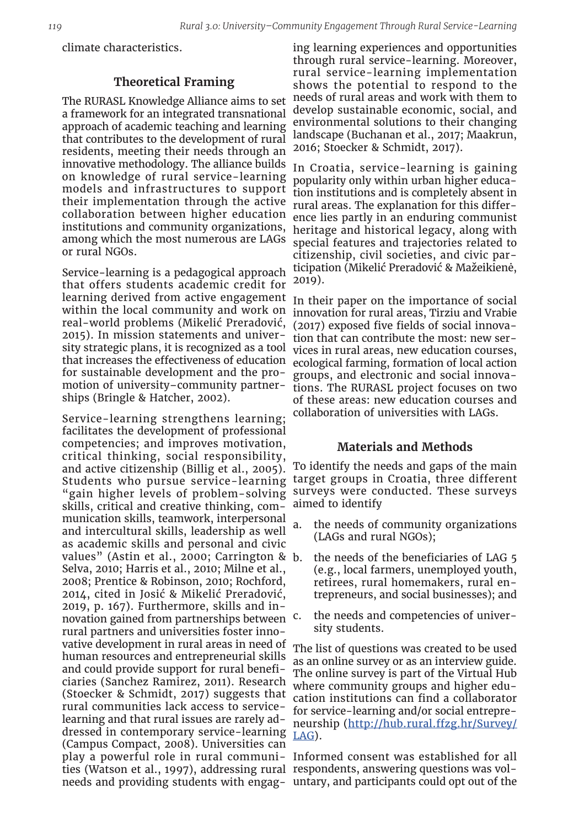climate characteristics.

# **Theoretical Framing**

The RURASL Knowledge Alliance aims to set a framework for an integrated transnational approach of academic teaching and learning that contributes to the development of rural residents, meeting their needs through an innovative methodology. The alliance builds on knowledge of rural service-learning models and infrastructures to support their implementation through the active collaboration between higher education institutions and community organizations, among which the most numerous are LAGs or rural NGOs.

Service-learning is a pedagogical approach that offers students academic credit for learning derived from active engagement within the local community and work on real-world problems (Mikelić Preradović, 2015). In mission statements and university strategic plans, it is recognized as a tool that increases the effectiveness of education for sustainable development and the promotion of university–community partnerships (Bringle & Hatcher, 2002).

Service-learning strengthens learning; facilitates the development of professional competencies; and improves motivation, critical thinking, social responsibility, and active citizenship (Billig et al., 2005). Students who pursue service-learning "gain higher levels of problem-solving skills, critical and creative thinking, communication skills, teamwork, interpersonal and intercultural skills, leadership as well as academic skills and personal and civic values" (Astin et al., 2000; Carrington & b. Selva, 2010; Harris et al., 2010; Milne et al., 2008; Prentice & Robinson, 2010; Rochford, 2014, cited in Josić & Mikelić Preradović, 2019, p. 167). Furthermore, skills and innovation gained from partnerships between <sup>c.</sup> rural partners and universities foster innovative development in rural areas in need of human resources and entrepreneurial skills and could provide support for rural beneficiaries (Sanchez Ramirez, 2011). Research (Stoecker & Schmidt, 2017) suggests that rural communities lack access to servicelearning and that rural issues are rarely addressed in contemporary service-learning (Campus Compact, 2008). Universities can play a powerful role in rural communi-Informed consent was established for all ties (Watson et al., 1997), addressing rural respondents, answering questions was volneeds and providing students with engag-untary, and participants could opt out of the

ing learning experiences and opportunities through rural service-learning. Moreover, rural service-learning implementation shows the potential to respond to the needs of rural areas and work with them to develop sustainable economic, social, and environmental solutions to their changing landscape (Buchanan et al., 2017; Maakrun, 2016; Stoecker & Schmidt, 2017).

In Croatia, service-learning is gaining popularity only within urban higher education institutions and is completely absent in rural areas. The explanation for this difference lies partly in an enduring communist heritage and historical legacy, along with special features and trajectories related to citizenship, civil societies, and civic participation (Mikelić Preradović & Mažeikienė, 2019).

In their paper on the importance of social innovation for rural areas, Tirziu and Vrabie (2017) exposed five fields of social innovation that can contribute the most: new services in rural areas, new education courses, ecological farming, formation of local action groups, and electronic and social innovations. The RURASL project focuses on two of these areas: new education courses and collaboration of universities with LAGs.

#### **Materials and Methods**

To identify the needs and gaps of the main target groups in Croatia, three different surveys were conducted. These surveys aimed to identify

- a. the needs of community organizations (LAGs and rural NGOs);
- b. the needs of the beneficiaries of LAG 5 (e.g., local farmers, unemployed youth, retirees, rural homemakers, rural entrepreneurs, and social businesses); and
- the needs and competencies of university students.

The list of questions was created to be used as an online survey or as an interview guide. The online survey is part of the Virtual Hub where community groups and higher education institutions can find a collaborator for service-learning and/or social entrepreneurship ([http://hub.rural.ffzg.hr/Survey/](http://hub.rural.ffzg.hr/Survey/LAG) [LAG\)](http://hub.rural.ffzg.hr/Survey/LAG).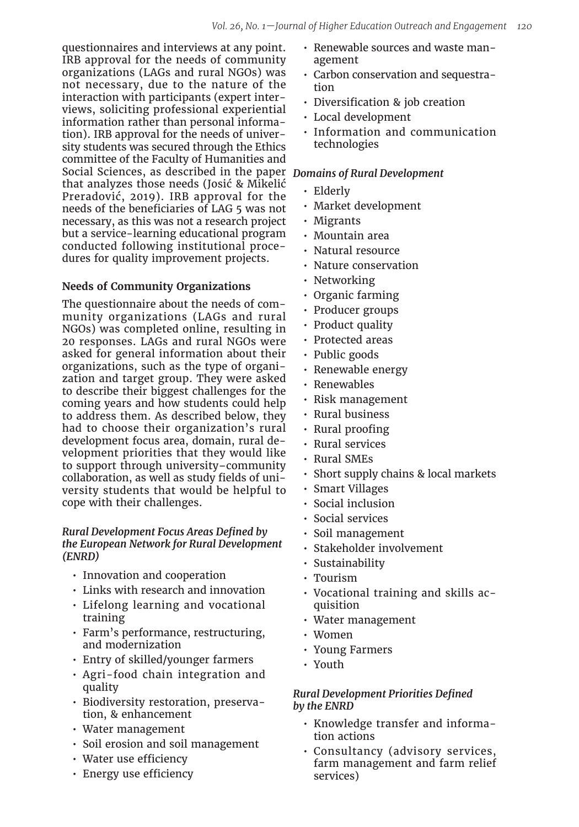questionnaires and interviews at any point. IRB approval for the needs of community organizations (LAGs and rural NGOs) was not necessary, due to the nature of the interaction with participants (expert interviews, soliciting professional experiential information rather than personal information). IRB approval for the needs of university students was secured through the Ethics committee of the Faculty of Humanities and Social Sciences, as described in the paper *Domains of Rural Development* that analyzes those needs (Josić & Mikelić Preradović, 2019). IRB approval for the needs of the beneficiaries of LAG 5 was not necessary, as this was not a research project but a service-learning educational program conducted following institutional procedures for quality improvement projects.

# **Needs of Community Organizations**

The questionnaire about the needs of community organizations (LAGs and rural NGOs) was completed online, resulting in 20 responses. LAGs and rural NGOs were asked for general information about their organizations, such as the type of organization and target group. They were asked to describe their biggest challenges for the coming years and how students could help to address them. As described below, they had to choose their organization's rural development focus area, domain, rural development priorities that they would like to support through university–community collaboration, as well as study fields of university students that would be helpful to cope with their challenges.

#### *Rural Development Focus Areas Defined by the European Network for Rural Development (ENRD)*

- Innovation and cooperation
- Links with research and innovation
- Lifelong learning and vocational training
- Farm's performance, restructuring, and modernization
- Entry of skilled/younger farmers
- Agri-food chain integration and quality
- Biodiversity restoration, preservation, & enhancement
- Water management
- Soil erosion and soil management
- Water use efficiency
- Energy use efficiency
- Renewable sources and waste management
- Carbon conservation and sequestration
- Diversification & job creation
- Local development
- Information and communication technologies

- Elderly
- Market development
- Migrants
- Mountain area
- Natural resource
- Nature conservation
- Networking
- Organic farming
- Producer groups
- Product quality
- Protected areas
- Public goods
- Renewable energy
- Renewables
- Risk management
- Rural business
- Rural proofing
- Rural services
- Rural SMEs
- Short supply chains & local markets
- Smart Villages
- Social inclusion
- Social services
- Soil management
- Stakeholder involvement
- Sustainability
- Tourism
- Vocational training and skills acquisition
- Water management
- Women
- Young Farmers
- Youth

# *Rural Development Priorities Defined by the ENRD*

- Knowledge transfer and information actions
- Consultancy (advisory services, farm management and farm relief services)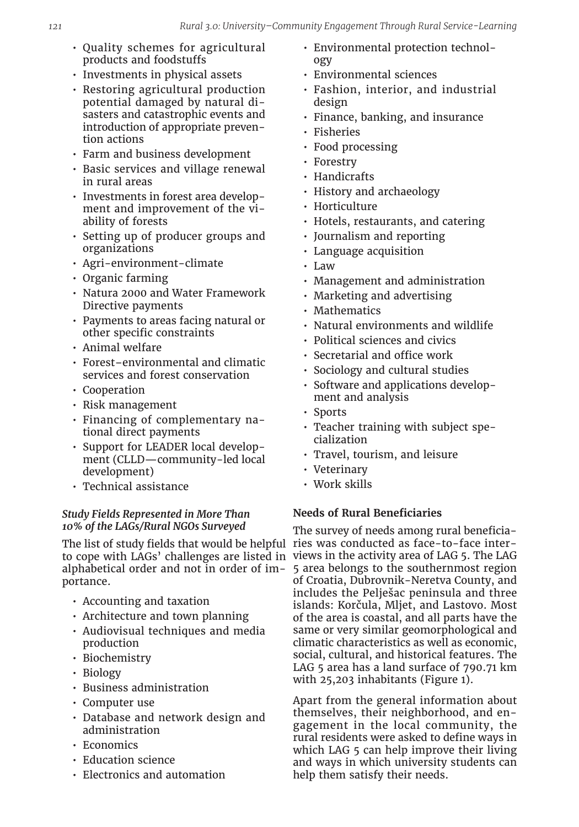- Quality schemes for agricultural products and foodstuffs
- Investments in physical assets
- Restoring agricultural production potential damaged by natural disasters and catastrophic events and introduction of appropriate prevention actions
- Farm and business development
- Basic services and village renewal in rural areas
- Investments in forest area development and improvement of the viability of forests
- Setting up of producer groups and organizations
- Agri-environment-climate
- Organic farming
- Natura 2000 and Water Framework Directive payments
- Payments to areas facing natural or other specific constraints
- Animal welfare
- Forest–environmental and climatic services and forest conservation
- Cooperation
- Risk management
- Financing of complementary national direct payments
- Support for LEADER local development (CLLD—community-led local development)
- Technical assistance

# *Study Fields Represented in More Than 10% of the LAGs/Rural NGOs Surveyed*

The list of study fields that would be helpful ries was conducted as face-to-face interalphabetical order and not in order of importance.

- Accounting and taxation
- Architecture and town planning
- Audiovisual techniques and media production
- Biochemistry
- Biology
- Business administration
- Computer use
- Database and network design and administration
- Economics
- Education science
- Electronics and automation
- Environmental protection technology
- Environmental sciences
- Fashion, interior, and industrial design
- Finance, banking, and insurance
- **Fisheries**
- Food processing
- Forestry
- Handicrafts
- History and archaeology
- Horticulture
- Hotels, restaurants, and catering
- Journalism and reporting
- Language acquisition
- Law
- Management and administration
- Marketing and advertising
- Mathematics
- Natural environments and wildlife
- Political sciences and civics
- Secretarial and office work
- Sociology and cultural studies
- Software and applications development and analysis
- Sports
- Teacher training with subject specialization
- Travel, tourism, and leisure
- Veterinary
- Work skills

# **Needs of Rural Beneficiaries**

to cope with LAGs' challenges are listed in views in the activity area of LAG 5. The LAG The survey of needs among rural beneficia-5 area belongs to the southernmost region of Croatia, Dubrovnik-Neretva County, and includes the Pelješac peninsula and three islands: Korčula, Mljet, and Lastovo. Most of the area is coastal, and all parts have the same or very similar geomorphological and climatic characteristics as well as economic, social, cultural, and historical features. The LAG 5 area has a land surface of 790.71 km with 25,203 inhabitants (Figure 1).

> Apart from the general information about themselves, their neighborhood, and engagement in the local community, the rural residents were asked to define ways in which LAG 5 can help improve their living and ways in which university students can help them satisfy their needs.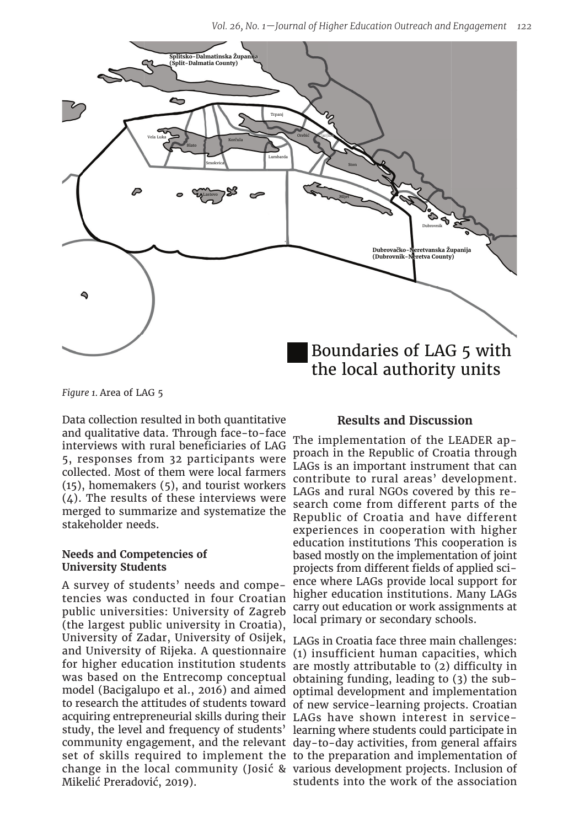*Vol. 26, No. 1—Journal of Higher Education Outreach and Engagement 122*



*Figure 1.* Area of LAG 5

Data collection resulted in both quantitative and qualitative data. Through face-to-face interviews with rural beneficiaries of LAG 5, responses from 32 participants were collected. Most of them were local farmers (15), homemakers (5), and tourist workers  $(4)$ . The results of these interviews were merged to summarize and systematize the stakeholder needs.

#### **Needs and Competencies of University Students**

A survey of students' needs and competencies was conducted in four Croatian public universities: University of Zagreb (the largest public university in Croatia), University of Zadar, University of Osijek, and University of Rijeka. A questionnaire for higher education institution students was based on the Entrecomp conceptual model (Bacigalupo et al., 2016) and aimed to research the attitudes of students toward of new service-learning projects. Croatian acquiring entrepreneurial skills during their LAGs have shown interest in servicestudy, the level and frequency of students' learning where students could participate in community engagement, and the relevant day-to-day activities, from general affairs set of skills required to implement the to the preparation and implementation of change in the local community (Josić & various development projects. Inclusion of Mikelić Preradović, 2019).

#### **Results and Discussion**

The implementation of the LEADER approach in the Republic of Croatia through LAGs is an important instrument that can contribute to rural areas' development. LAGs and rural NGOs covered by this research come from different parts of the Republic of Croatia and have different experiences in cooperation with higher education institutions This cooperation is based mostly on the implementation of joint projects from different fields of applied science where LAGs provide local support for higher education institutions. Many LAGs carry out education or work assignments at local primary or secondary schools.

LAGs in Croatia face three main challenges: (1) insufficient human capacities, which are mostly attributable to (2) difficulty in obtaining funding, leading to (3) the suboptimal development and implementation students into the work of the association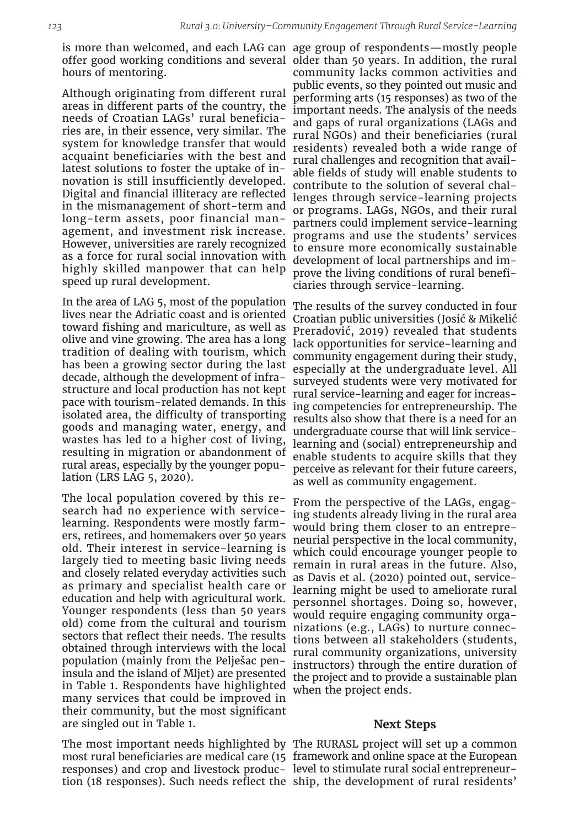is more than welcomed, and each LAG can age group of respondents—mostly people offer good working conditions and several older than 50 years. In addition, the rural hours of mentoring.

Although originating from different rural areas in different parts of the country, the needs of Croatian LAGs' rural beneficiaries are, in their essence, very similar. The system for knowledge transfer that would acquaint beneficiaries with the best and latest solutions to foster the uptake of innovation is still insufficiently developed. Digital and financial illiteracy are reflected in the mismanagement of short-term and long-term assets, poor financial management, and investment risk increase. However, universities are rarely recognized as a force for rural social innovation with highly skilled manpower that can help speed up rural development.

In the area of LAG 5, most of the population lives near the Adriatic coast and is oriented toward fishing and mariculture, as well as olive and vine growing. The area has a long tradition of dealing with tourism, which has been a growing sector during the last decade, although the development of infrastructure and local production has not kept pace with tourism-related demands. In this isolated area, the difficulty of transporting goods and managing water, energy, and wastes has led to a higher cost of living, resulting in migration or abandonment of rural areas, especially by the younger population (LRS LAG 5, 2020).

The local population covered by this research had no experience with servicelearning. Respondents were mostly farmers, retirees, and homemakers over 50 years old. Their interest in service-learning is largely tied to meeting basic living needs and closely related everyday activities such as primary and specialist health care or education and help with agricultural work. Younger respondents (less than 50 years old) come from the cultural and tourism sectors that reflect their needs. The results obtained through interviews with the local population (mainly from the Pelješac peninsula and the island of Mljet) are presented in Table 1. Respondents have highlighted many services that could be improved in their community, but the most significant are singled out in Table 1.

The most important needs highlighted by The RURASL project will set up a common most rural beneficiaries are medical care (15 framework and online space at the European responses) and crop and livestock produc-level to stimulate rural social entrepreneurtion (18 responses). Such needs reflect the ship, the development of rural residents'

community lacks common activities and public events, so they pointed out music and performing arts (15 responses) as two of the important needs. The analysis of the needs and gaps of rural organizations (LAGs and rural NGOs) and their beneficiaries (rural residents) revealed both a wide range of rural challenges and recognition that available fields of study will enable students to contribute to the solution of several challenges through service-learning projects or programs. LAGs, NGOs, and their rural partners could implement service-learning programs and use the students' services to ensure more economically sustainable development of local partnerships and improve the living conditions of rural beneficiaries through service-learning.

The results of the survey conducted in four Croatian public universities (Josić & Mikelić Preradović, 2019) revealed that students lack opportunities for service-learning and community engagement during their study, especially at the undergraduate level. All surveyed students were very motivated for rural service-learning and eager for increasing competencies for entrepreneurship. The results also show that there is a need for an undergraduate course that will link servicelearning and (social) entrepreneurship and enable students to acquire skills that they perceive as relevant for their future careers, as well as community engagement.

From the perspective of the LAGs, engaging students already living in the rural area would bring them closer to an entrepreneurial perspective in the local community, which could encourage younger people to remain in rural areas in the future. Also, as Davis et al. (2020) pointed out, servicelearning might be used to ameliorate rural personnel shortages. Doing so, however, would require engaging community organizations (e.g., LAGs) to nurture connections between all stakeholders (students, rural community organizations, university instructors) through the entire duration of the project and to provide a sustainable plan when the project ends.

#### **Next Steps**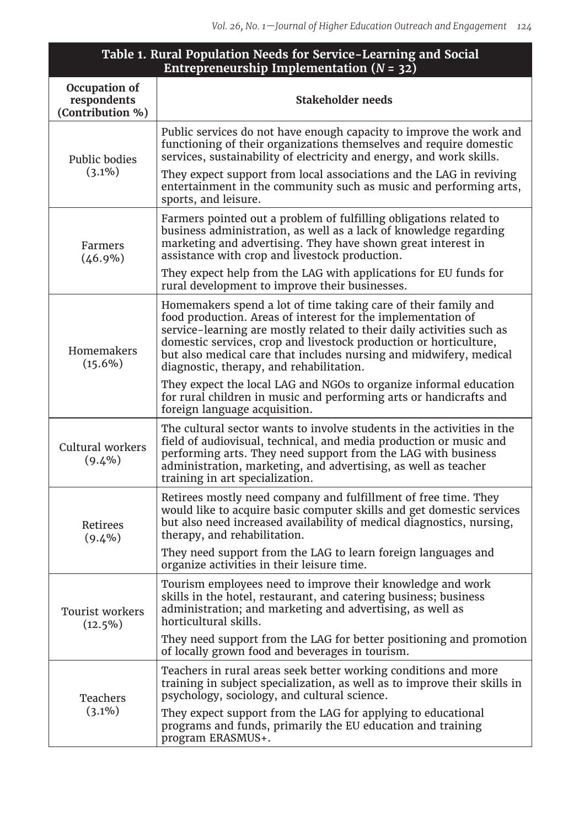| Table 1. Rural Population Needs for Service-Learning and Social<br>Entrepreneurship Implementation ( $N = 32$ ) |                                                                                                                                                                                                                                                                                                                                                                                                |
|-----------------------------------------------------------------------------------------------------------------|------------------------------------------------------------------------------------------------------------------------------------------------------------------------------------------------------------------------------------------------------------------------------------------------------------------------------------------------------------------------------------------------|
| Occupation of<br>respondents<br>(Contribution %)                                                                | Stakeholder needs                                                                                                                                                                                                                                                                                                                                                                              |
| Public bodies<br>$(3.1\%)$                                                                                      | Public services do not have enough capacity to improve the work and<br>functioning of their organizations themselves and require domestic<br>services, sustainability of electricity and energy, and work skills.                                                                                                                                                                              |
|                                                                                                                 | They expect support from local associations and the LAG in reviving<br>entertainment in the community such as music and performing arts,<br>sports, and leisure.                                                                                                                                                                                                                               |
| Farmers<br>$(46.9\%)$                                                                                           | Farmers pointed out a problem of fulfilling obligations related to<br>business administration, as well as a lack of knowledge regarding<br>marketing and advertising. They have shown great interest in<br>assistance with crop and livestock production.                                                                                                                                      |
|                                                                                                                 | They expect help from the LAG with applications for EU funds for<br>rural development to improve their businesses.                                                                                                                                                                                                                                                                             |
| Homemakers<br>$(15.6\%)$                                                                                        | Homemakers spend a lot of time taking care of their family and<br>food production. Areas of interest for the implementation of<br>service-learning are mostly related to their daily activities such as<br>domestic services, crop and livestock production or horticulture,<br>but also medical care that includes nursing and midwifery, medical<br>diagnostic, therapy, and rehabilitation. |
|                                                                                                                 | They expect the local LAG and NGOs to organize informal education<br>for rural children in music and performing arts or handicrafts and<br>foreign language acquisition.                                                                                                                                                                                                                       |
| Cultural workers<br>$(9.4\%)$                                                                                   | The cultural sector wants to involve students in the activities in the<br>field of audiovisual, technical, and media production or music and<br>performing arts. They need support from the LAG with business<br>administration, marketing, and advertising, as well as teacher<br>training in art specialization.                                                                             |
| Retirees<br>$(9.4\%)$                                                                                           | Retirees mostly need company and fulfillment of free time. They<br>would like to acquire basic computer skills and get domestic services<br>but also need increased availability of medical diagnostics, nursing,<br>therapy, and rehabilitation.                                                                                                                                              |
|                                                                                                                 | They need support from the LAG to learn foreign languages and<br>organize activities in their leisure time.                                                                                                                                                                                                                                                                                    |
| Tourist workers<br>$(12.5\%)$                                                                                   | Tourism employees need to improve their knowledge and work<br>skills in the hotel, restaurant, and catering business; business<br>administration; and marketing and advertising, as well as<br>horticultural skills.                                                                                                                                                                           |
|                                                                                                                 | They need support from the LAG for better positioning and promotion<br>of locally grown food and beverages in tourism.                                                                                                                                                                                                                                                                         |
| Teachers<br>$(3.1\%)$                                                                                           | Teachers in rural areas seek better working conditions and more<br>training in subject specialization, as well as to improve their skills in<br>psychology, sociology, and cultural science.                                                                                                                                                                                                   |
|                                                                                                                 | They expect support from the LAG for applying to educational<br>programs and funds, primarily the EU education and training<br>program ERASMUS+.                                                                                                                                                                                                                                               |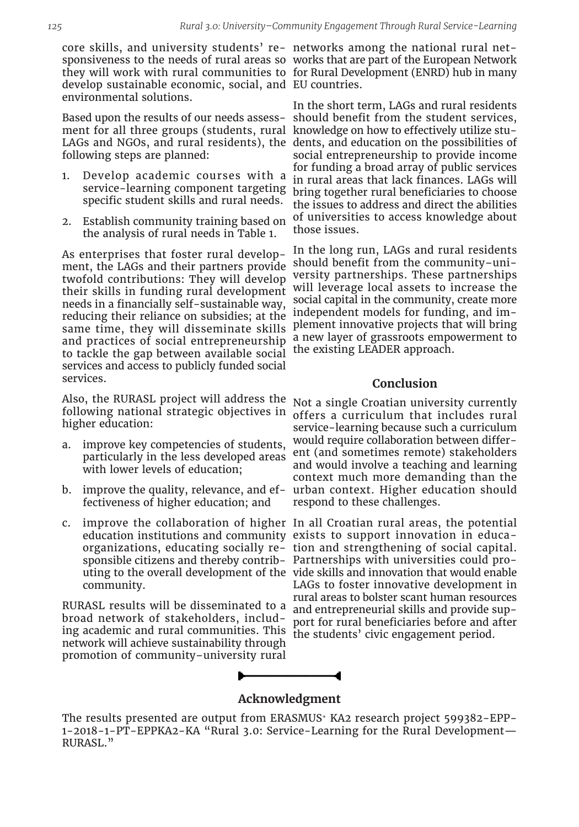core skills, and university students' re-networks among the national rural netsponsiveness to the needs of rural areas so works that are part of the European Network they will work with rural communities to for Rural Development (ENRD) hub in many develop sustainable economic, social, and EU countries. environmental solutions.

ment for all three groups (students, rural knowledge on how to effectively utilize stufollowing steps are planned:

- 1. Develop academic courses with a service-learning component targeting specific student skills and rural needs.
- 2. Establish community training based on the analysis of rural needs in Table 1.

As enterprises that foster rural development, the LAGs and their partners provide twofold contributions: They will develop their skills in funding rural development needs in a financially self-sustainable way, reducing their reliance on subsidies; at the same time, they will disseminate skills and practices of social entrepreneurship to tackle the gap between available social services and access to publicly funded social services.

Also, the RURASL project will address the following national strategic objectives in higher education:

- a. improve key competencies of students, particularly in the less developed areas with lower levels of education;
- b. improve the quality, relevance, and effectiveness of higher education; and
- community.

RURASL results will be disseminated to a broad network of stakeholders, including academic and rural communities. This the students' civic engagement period. network will achieve sustainability through promotion of community–university rural

Based upon the results of our needs assess-should benefit from the student services, LAGs and NGOs, and rural residents), the dents, and education on the possibilities of In the short term, LAGs and rural residents social entrepreneurship to provide income for funding a broad array of public services in rural areas that lack finances. LAGs will bring together rural beneficiaries to choose the issues to address and direct the abilities of universities to access knowledge about those issues.

> In the long run, LAGs and rural residents should benefit from the community–university partnerships. These partnerships will leverage local assets to increase the social capital in the community, create more independent models for funding, and implement innovative projects that will bring a new layer of grassroots empowerment to the existing LEADER approach.

#### **Conclusion**

Not a single Croatian university currently offers a curriculum that includes rural service-learning because such a curriculum would require collaboration between different (and sometimes remote) stakeholders and would involve a teaching and learning context much more demanding than the urban context. Higher education should respond to these challenges.

c. improve the collaboration of higher In all Croatian rural areas, the potential education institutions and community exists to support innovation in educaorganizations, educating socially re-tion and strengthening of social capital. sponsible citizens and thereby contrib-Partnerships with universities could prouting to the overall development of the vide skills and innovation that would enable LAGs to foster innovative development in rural areas to bolster scant human resources and entrepreneurial skills and provide support for rural beneficiaries before and after



# **Acknowledgment**

The results presented are output from ERASMUS<sup>+</sup> KA2 research project 599382-EPP-1-2018-1-PT-EPPKA2-KA "Rural 3.0: Service-Learning for the Rural Development— RURASL."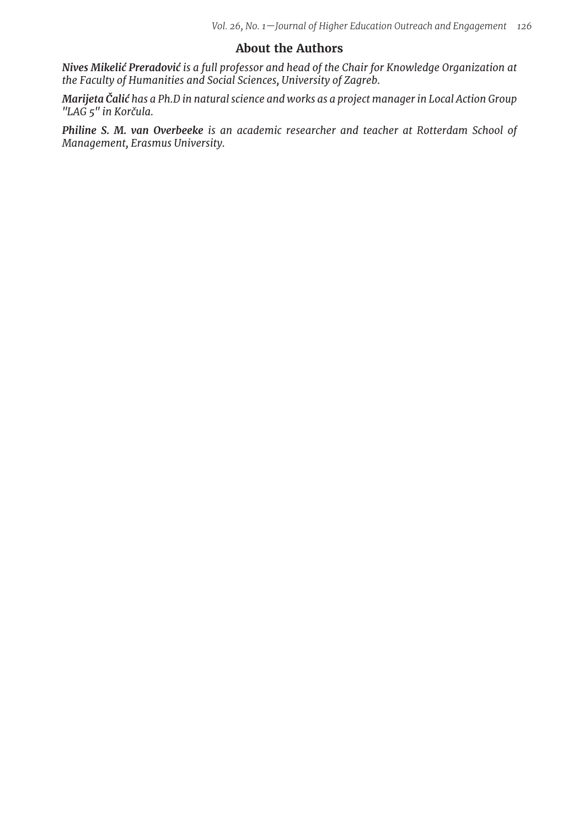# **About the Authors**

*Nives Mikelić Preradović is a full professor and head of the Chair for Knowledge Organization at the Faculty of Humanities and Social Sciences, University of Zagreb.*

*Marijeta Čalić has a Ph.D in natural science and works as a project manager in Local Action Group "LAG 5" in Korčula.*

*Philine S. M. van Overbeeke is an academic researcher and teacher at Rotterdam School of Management, Erasmus University.*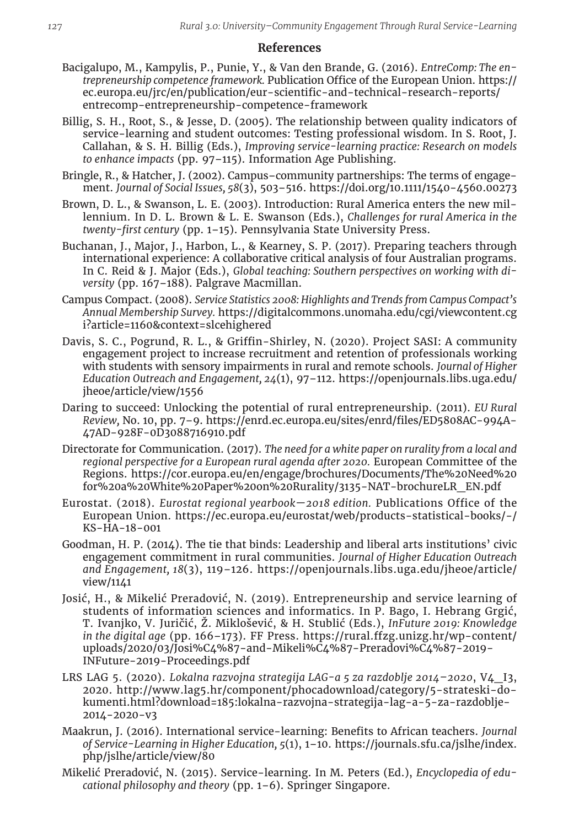# **References**

- Bacigalupo, M., Kampylis, P., Punie, Y., & Van den Brande, G. (2016). *EntreComp: The entrepreneurship competence framework.* Publication Office of the European Union. https:// ec.europa.eu/jrc/en/publication/eur-scientific-and-technical-research-reports/ entrecomp-entrepreneurship-competence-framework
- Billig, S. H., Root, S., & Jesse, D. (2005). The relationship between quality indicators of service-learning and student outcomes: Testing professional wisdom. In S. Root, J. Callahan, & S. H. Billig (Eds.), *Improving service-learning practice: Research on models to enhance impacts* (pp. 97–115). Information Age Publishing.
- Bringle, R., & Hatcher, J. (2002). Campus–community partnerships: The terms of engagement. *Journal of Social Issues, 58*(3), 503–516. https://doi.org/10.1111/1540-4560.00273
- Brown, D. L., & Swanson, L. E. (2003). Introduction: Rural America enters the new millennium. In D. L. Brown & L. E. Swanson (Eds.), *Challenges for rural America in the twenty-first century* (pp. 1–15). Pennsylvania State University Press.
- Buchanan, J., Major, J., Harbon, L., & Kearney, S. P. (2017). Preparing teachers through international experience: A collaborative critical analysis of four Australian programs. In C. Reid & J. Major (Eds.), *Global teaching: Southern perspectives on working with diversity* (pp. 167–188). Palgrave Macmillan.
- Campus Compact. (2008). *Service Statistics 2008: Highlights and Trends from Campus Compact's Annual Membership Survey.* https://digitalcommons.unomaha.edu/cgi/viewcontent.cg i?article=1160&context=slcehighered
- Davis, S. C., Pogrund, R. L., & Griffin-Shirley, N. (2020). Project SASI: A community engagement project to increase recruitment and retention of professionals working with students with sensory impairments in rural and remote schools. *Journal of Higher Education Outreach and Engagement, 24*(1), 97–112. https://openjournals.libs.uga.edu/ jheoe/article/view/1556
- Daring to succeed: Unlocking the potential of rural entrepreneurship. (2011). *EU Rural Review,* No. 10, pp. 7–9. https://enrd.ec.europa.eu/sites/enrd/files/ED5808AC-994A-47AD-928F-0D3088716910.pdf
- Directorate for Communication. (2017). *The need for a white paper on rurality from a local and regional perspective for a European rural agenda after 2020.* European Committee of the Regions. https://cor.europa.eu/en/engage/brochures/Documents/The%20Need%20 for%20a%20White%20Paper%20on%20Rurality/3135-NAT-brochureLR\_EN.pdf
- Eurostat. (2018). *Eurostat regional yearbook—2018 edition.* Publications Office of the European Union. https://ec.europa.eu/eurostat/web/products-statistical-books/-/ KS-HA-18-001
- Goodman, H. P. (2014). The tie that binds: Leadership and liberal arts institutions' civic engagement commitment in rural communities. *Journal of Higher Education Outreach and Engagement, 18*(3), 119–126. https://openjournals.libs.uga.edu/jheoe/article/ view/1141
- Josić, H., & Mikelić Preradović, N. (2019). Entrepreneurship and service learning of students of information sciences and informatics. In P. Bago, I. Hebrang Grgić, T. Ivanjko, V. Juričić, Ž. Miklošević, & H. Stublić (Eds.), *InFuture 2019: Knowledge in the digital age* (pp. 166–173). FF Press. https://rural.ffzg.unizg.hr/wp-content/ uploads/2020/03/Josi%C4%87-and-Mikeli%C4%87-Preradovi%C4%87-2019- INFuture-2019-Proceedings.pdf
- LRS LAG 5. (2020). *Lokalna razvojna strategija LAG-a 5 za razdoblje 2014–2020*, V4\_I3, 2020. http://www.lag5.hr/component/phocadownload/category/5-strateski-dokumenti.html?download=185:lokalna-razvojna-strategija-lag-a-5-za-razdoblje-2014-2020-v3
- Maakrun, J. (2016). International service-learning: Benefits to African teachers. *Journal of Service-Learning in Higher Education, 5*(1), 1–10. https://journals.sfu.ca/jslhe/index. php/jslhe/article/view/80
- Mikelić Preradović, N. (2015). Service-learning. In M. Peters (Ed.), *Encyclopedia of educational philosophy and theory* (pp. 1–6). Springer Singapore.